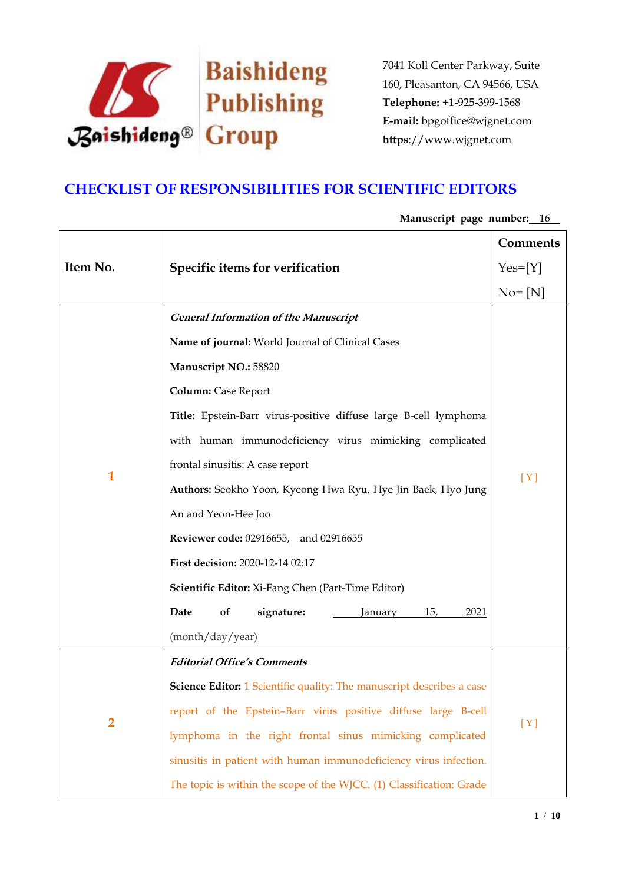

## **CHECKLIST OF RESPONSIBILITIES FOR SCIENTIFIC EDITORS**

|                |                                                                              | <b>Comments</b> |
|----------------|------------------------------------------------------------------------------|-----------------|
| Item No.       | Specific items for verification                                              | $Yes=[Y]$       |
|                |                                                                              | $No = [N]$      |
|                | <b>General Information of the Manuscript</b>                                 |                 |
|                | Name of journal: World Journal of Clinical Cases                             |                 |
|                | Manuscript NO.: 58820                                                        |                 |
|                | <b>Column: Case Report</b>                                                   |                 |
|                | Title: Epstein-Barr virus-positive diffuse large B-cell lymphoma             |                 |
|                | with human immunodeficiency virus mimicking complicated                      |                 |
|                | frontal sinusitis: A case report                                             |                 |
| 1              | Authors: Seokho Yoon, Kyeong Hwa Ryu, Hye Jin Baek, Hyo Jung                 | [Y]             |
|                | An and Yeon-Hee Joo                                                          |                 |
|                | <b>Reviewer code: 02916655, and 02916655</b>                                 |                 |
|                | First decision: 2020-12-14 02:17                                             |                 |
|                | <b>Scientific Editor:</b> Xi-Fang Chen (Part-Time Editor)                    |                 |
|                | 15,<br>Date<br>of<br>signature:<br>2021<br>January                           |                 |
|                | (month/day/year)                                                             |                 |
|                | <b>Editorial Office's Comments</b>                                           |                 |
| $\overline{2}$ | <b>Science Editor:</b> 1 Scientific quality: The manuscript describes a case |                 |
|                | report of the Epstein-Barr virus positive diffuse large B-cell               | [Y]             |
|                | lymphoma in the right frontal sinus mimicking complicated                    |                 |
|                | sinusitis in patient with human immunodeficiency virus infection.            |                 |
|                | The topic is within the scope of the WJCC. (1) Classification: Grade         |                 |

## Manuscript page number: 16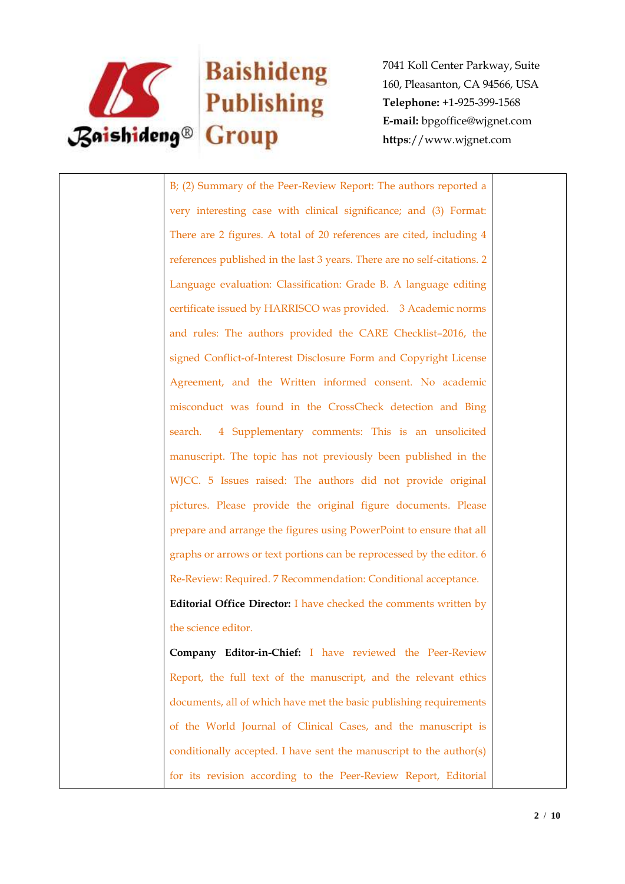

## **Baishideng**

7041 Koll Center Parkway, Suite 160, Pleasanton, CA 94566, USA **Telephone:** +1-925-399-1568 **E-mail:** bpgoffice@wjgnet.com **https**://www.wjgnet.com

B; (2) Summary of the Peer-Review Report: The authors reported a very interesting case with clinical significance; and (3) Format: There are 2 figures. A total of 20 references are cited, including 4 references published in the last 3 years. There are no self-citations. 2 Language evaluation: Classification: Grade B. A language editing certificate issued by HARRISCO was provided. 3 Academic norms and rules: The authors provided the CARE Checklist–2016, the signed Conflict-of-Interest Disclosure Form and Copyright License Agreement, and the Written informed consent. No academic misconduct was found in the CrossCheck detection and Bing search. 4 Supplementary comments: This is an unsolicited manuscript. The topic has not previously been published in the WJCC. 5 Issues raised: The authors did not provide original pictures. Please provide the original figure documents. Please prepare and arrange the figures using PowerPoint to ensure that all graphs or arrows or text portions can be reprocessed by the editor. 6 Re-Review: Required. 7 Recommendation: Conditional acceptance. **Editorial Office Director:** I have checked the comments written by the science editor. **Company Editor-in-Chief:** I have reviewed the Peer-Review Report, the full text of the manuscript, and the relevant ethics documents, all of which have met the basic publishing requirements of the World Journal of Clinical Cases, and the manuscript is conditionally accepted. I have sent the manuscript to the author(s) for its revision according to the Peer-Review Report, Editorial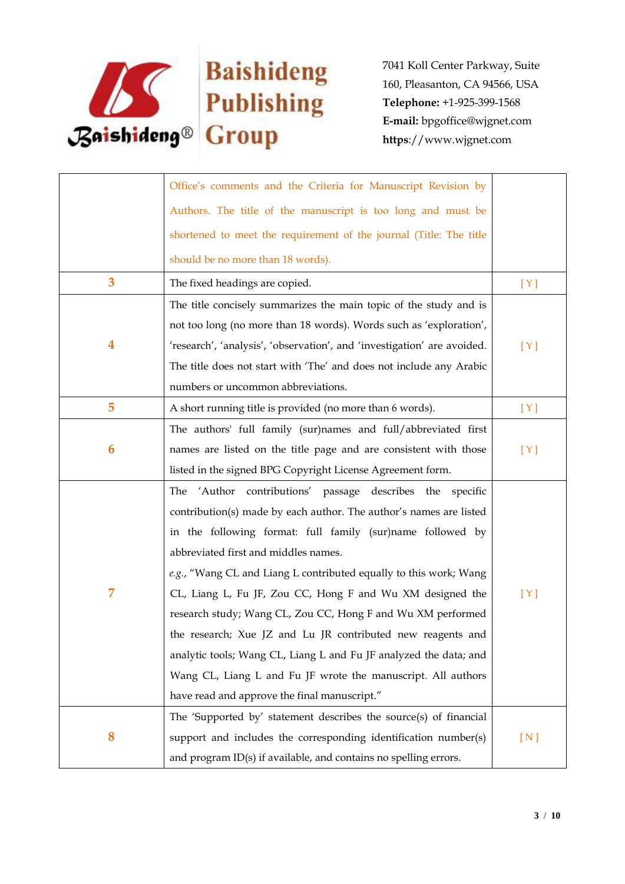

|   | Office's comments and the Criteria for Manuscript Revision by           |     |
|---|-------------------------------------------------------------------------|-----|
|   | Authors. The title of the manuscript is too long and must be            |     |
|   | shortened to meet the requirement of the journal (Title: The title      |     |
|   | should be no more than 18 words).                                       |     |
| 3 | The fixed headings are copied.                                          | [Y] |
|   | The title concisely summarizes the main topic of the study and is       |     |
|   | not too long (no more than 18 words). Words such as 'exploration',      |     |
| 4 | 'research', 'analysis', 'observation', and 'investigation' are avoided. | [Y] |
|   | The title does not start with 'The' and does not include any Arabic     |     |
|   | numbers or uncommon abbreviations.                                      |     |
| 5 | A short running title is provided (no more than 6 words).               | [Y] |
|   | The authors' full family (sur)names and full/abbreviated first          |     |
| 6 | names are listed on the title page and are consistent with those        | [Y] |
|   | listed in the signed BPG Copyright License Agreement form.              |     |
|   | The<br>'Author contributions' passage describes the specific            |     |
|   | contribution(s) made by each author. The author's names are listed      |     |
|   | in the following format: full family (sur)name followed by              |     |
|   | abbreviated first and middles names.                                    |     |
|   | e.g., "Wang CL and Liang L contributed equally to this work; Wang       |     |
| 7 | CL, Liang L, Fu JF, Zou CC, Hong F and Wu XM designed the               | [Y] |
|   | research study; Wang CL, Zou CC, Hong F and Wu XM performed             |     |
|   | the research; Xue JZ and Lu JR contributed new reagents and             |     |
|   | analytic tools; Wang CL, Liang L and Fu JF analyzed the data; and       |     |
|   | Wang CL, Liang L and Fu JF wrote the manuscript. All authors            |     |
|   | have read and approve the final manuscript."                            |     |
|   | The 'Supported by' statement describes the source(s) of financial       |     |
| 8 | support and includes the corresponding identification number(s)         | [N] |
|   | and program ID(s) if available, and contains no spelling errors.        |     |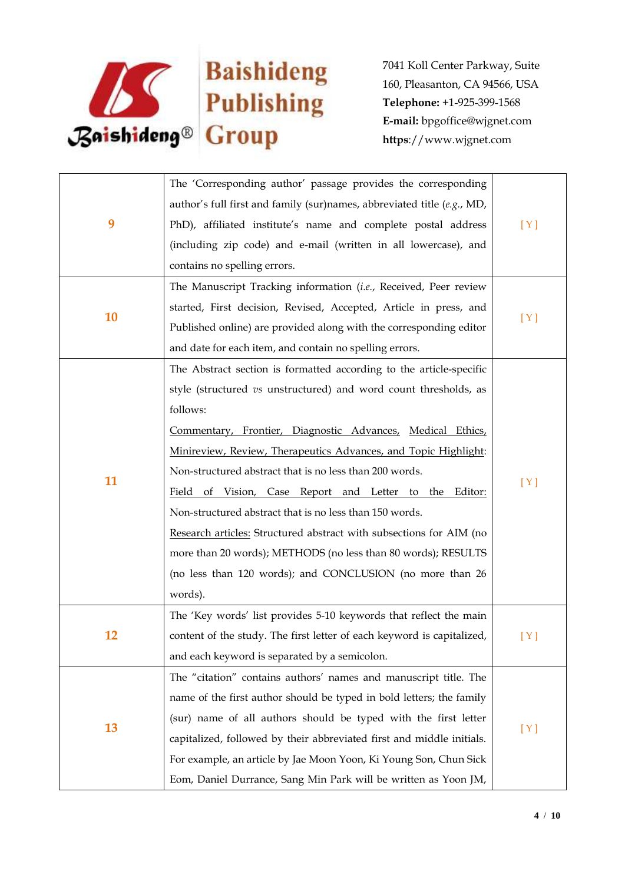

|    | The 'Corresponding author' passage provides the corresponding           |       |
|----|-------------------------------------------------------------------------|-------|
|    | author's full first and family (sur)names, abbreviated title (e.g., MD, |       |
| 9  |                                                                         |       |
|    | PhD), affiliated institute's name and complete postal address           | [Y]   |
|    | (including zip code) and e-mail (written in all lowercase), and         |       |
|    | contains no spelling errors.                                            |       |
|    | The Manuscript Tracking information (i.e., Received, Peer review        |       |
| 10 | started, First decision, Revised, Accepted, Article in press, and       | [Y]   |
|    | Published online) are provided along with the corresponding editor      |       |
|    | and date for each item, and contain no spelling errors.                 |       |
|    | The Abstract section is formatted according to the article-specific     |       |
|    | style (structured vs unstructured) and word count thresholds, as        |       |
|    | follows:                                                                |       |
|    | Commentary, Frontier, Diagnostic Advances, Medical Ethics,              |       |
|    | Minireview, Review, Therapeutics Advances, and Topic Highlight:         | [Y]   |
|    | Non-structured abstract that is no less than 200 words.                 |       |
| 11 | Field of Vision, Case Report and Letter to the Editor:                  |       |
|    | Non-structured abstract that is no less than 150 words.                 |       |
|    | Research articles: Structured abstract with subsections for AIM (no     |       |
|    | more than 20 words); METHODS (no less than 80 words); RESULTS           |       |
|    | (no less than 120 words); and CONCLUSION (no more than 26               |       |
|    | words).                                                                 |       |
|    | The 'Key words' list provides 5-10 keywords that reflect the main       |       |
| 12 | content of the study. The first letter of each keyword is capitalized,  | [ Y ] |
|    | and each keyword is separated by a semicolon.                           |       |
|    | The "citation" contains authors' names and manuscript title. The        |       |
| 13 | name of the first author should be typed in bold letters; the family    |       |
|    | (sur) name of all authors should be typed with the first letter         |       |
|    | capitalized, followed by their abbreviated first and middle initials.   | [Y]   |
|    |                                                                         |       |
|    | For example, an article by Jae Moon Yoon, Ki Young Son, Chun Sick       |       |
|    | Eom, Daniel Durrance, Sang Min Park will be written as Yoon JM,         |       |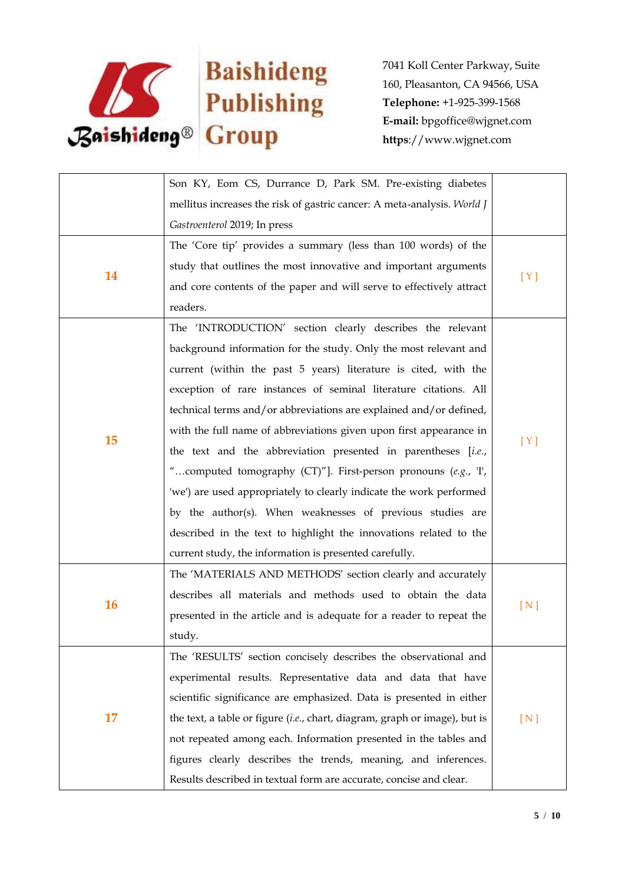

|           | Son KY, Eom CS, Durrance D, Park SM. Pre-existing diabetes                 |     |
|-----------|----------------------------------------------------------------------------|-----|
|           | mellitus increases the risk of gastric cancer: A meta-analysis. World J    |     |
|           | Gastroenterol 2019; In press                                               |     |
|           | The 'Core tip' provides a summary (less than 100 words) of the             |     |
| 14        | study that outlines the most innovative and important arguments            |     |
|           | and core contents of the paper and will serve to effectively attract       | [Y] |
|           | readers.                                                                   |     |
|           | The 'INTRODUCTION' section clearly describes the relevant                  |     |
|           | background information for the study. Only the most relevant and           |     |
|           | current (within the past 5 years) literature is cited, with the            |     |
|           | exception of rare instances of seminal literature citations. All           |     |
|           | technical terms and/or abbreviations are explained and/or defined,         |     |
|           | with the full name of abbreviations given upon first appearance in         |     |
| 15        | the text and the abbreviation presented in parentheses [i.e.,              | [Y] |
|           | "computed tomography (CT)"]. First-person pronouns (e.g., 'I',             |     |
|           | 'we') are used appropriately to clearly indicate the work performed        |     |
|           | by the author(s). When weaknesses of previous studies are                  |     |
|           | described in the text to highlight the innovations related to the          |     |
|           | current study, the information is presented carefully.                     |     |
|           | The 'MATERIALS AND METHODS' section clearly and accurately                 |     |
|           | describes all materials and methods used to obtain the data                |     |
| <b>16</b> | presented in the article and is adequate for a reader to repeat the        | [N] |
|           | study.                                                                     |     |
|           | The 'RESULTS' section concisely describes the observational and            |     |
| 17        | experimental results. Representative data and data that have               |     |
|           | scientific significance are emphasized. Data is presented in either        |     |
|           | the text, a table or figure (i.e., chart, diagram, graph or image), but is | [N] |
|           | not repeated among each. Information presented in the tables and           |     |
|           | figures clearly describes the trends, meaning, and inferences.             |     |
|           | Results described in textual form are accurate, concise and clear.         |     |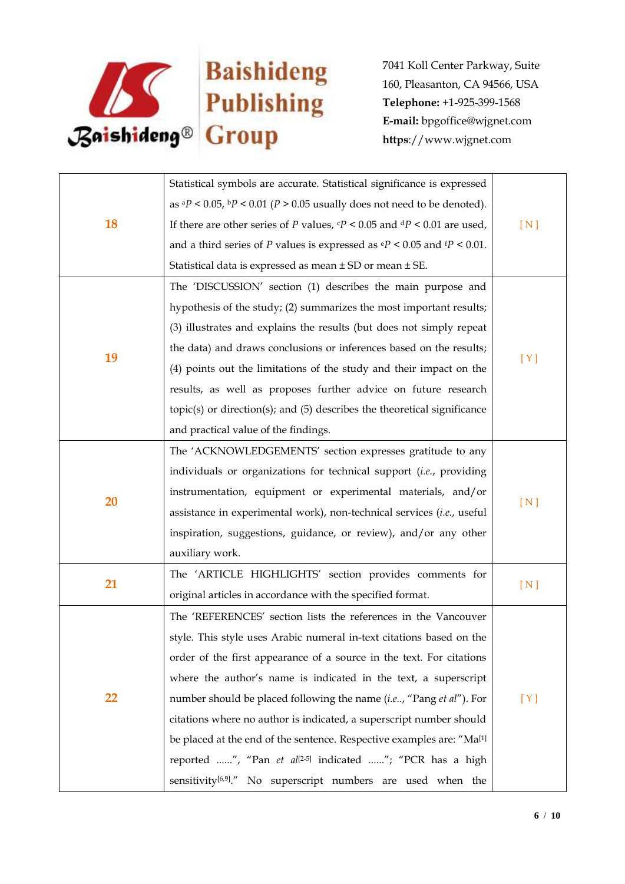

|    | Statistical symbols are accurate. Statistical significance is expressed                          |     |
|----|--------------------------------------------------------------------------------------------------|-----|
| 18 |                                                                                                  |     |
|    | as ${}^{a}P$ < 0.05, ${}^{b}P$ < 0.01 (P > 0.05 usually does not need to be denoted).            |     |
|    | If there are other series of P values, $\frac{c}{P}$ < 0.05 and $\frac{dP}{dP}$ < 0.01 are used, | [N] |
|    | and a third series of P values is expressed as $\frac{e}{P}$ < 0.05 and $\frac{f}{P}$ < 0.01.    |     |
|    | Statistical data is expressed as mean ± SD or mean ± SE.                                         |     |
|    | The 'DISCUSSION' section (1) describes the main purpose and                                      |     |
|    | hypothesis of the study; (2) summarizes the most important results;                              |     |
|    | (3) illustrates and explains the results (but does not simply repeat                             |     |
|    | the data) and draws conclusions or inferences based on the results;                              |     |
| 19 | (4) points out the limitations of the study and their impact on the                              | [Y] |
|    | results, as well as proposes further advice on future research                                   |     |
|    | $topic(s)$ or direction(s); and $(5)$ describes the theoretical significance                     |     |
|    | and practical value of the findings.                                                             |     |
|    | The 'ACKNOWLEDGEMENTS' section expresses gratitude to any                                        |     |
|    | individuals or organizations for technical support (i.e., providing                              |     |
| 20 | instrumentation, equipment or experimental materials, and/or                                     |     |
|    | assistance in experimental work), non-technical services (i.e., useful                           | [N] |
|    | inspiration, suggestions, guidance, or review), and/or any other                                 |     |
|    | auxiliary work.                                                                                  |     |
|    | The 'ARTICLE HIGHLIGHTS' section provides comments for                                           |     |
| 21 | original articles in accordance with the specified format.                                       | [N] |
| 22 | The 'REFERENCES' section lists the references in the Vancouver                                   |     |
|    | style. This style uses Arabic numeral in-text citations based on the                             |     |
|    | order of the first appearance of a source in the text. For citations                             |     |
|    | where the author's name is indicated in the text, a superscript                                  |     |
|    | number should be placed following the name (i.e, "Pang et al"). For                              | [Y] |
|    | citations where no author is indicated, a superscript number should                              |     |
|    | be placed at the end of the sentence. Respective examples are: "Ma <sup>[1]</sup>                |     |
|    | reported ", "Pan et al <sup>[2-5]</sup> indicated "; "PCR has a high                             |     |
|    | sensitivity <sup>[6,9]</sup> ." No superscript numbers are used when the                         |     |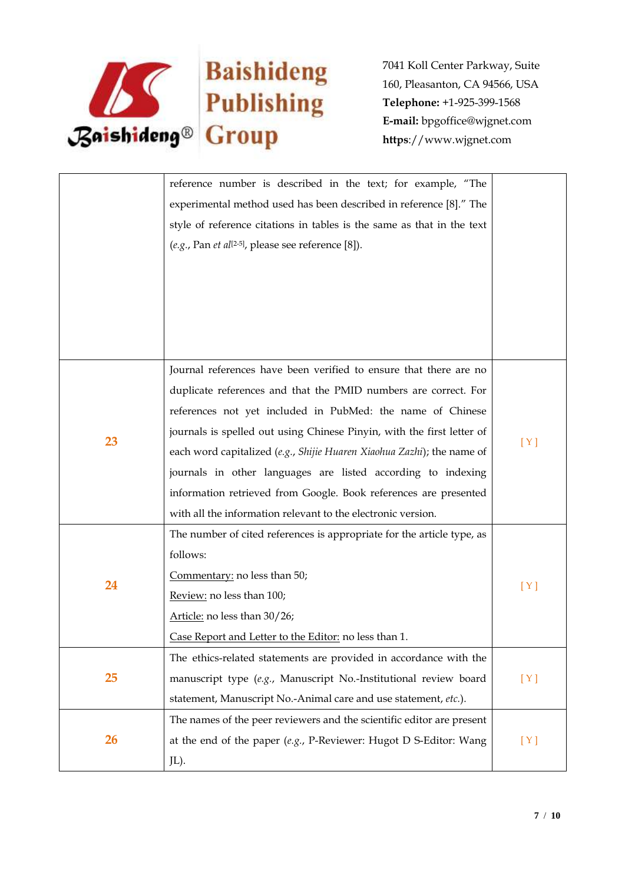

|           | reference number is described in the text; for example, "The                       |     |
|-----------|------------------------------------------------------------------------------------|-----|
|           | experimental method used has been described in reference [8]." The                 |     |
|           | style of reference citations in tables is the same as that in the text             |     |
|           | $(e.g., Pan et al[2-5], please see reference [8]).$                                |     |
|           |                                                                                    |     |
|           |                                                                                    |     |
|           |                                                                                    |     |
|           |                                                                                    |     |
|           |                                                                                    |     |
|           | Journal references have been verified to ensure that there are no                  |     |
|           | duplicate references and that the PMID numbers are correct. For                    |     |
|           | references not yet included in PubMed: the name of Chinese                         |     |
|           | journals is spelled out using Chinese Pinyin, with the first letter of             |     |
| 23        | each word capitalized (e.g., Shijie Huaren Xiaohua Zazhi); the name of             | [Y] |
|           | journals in other languages are listed according to indexing                       |     |
|           | information retrieved from Google. Book references are presented                   |     |
|           | with all the information relevant to the electronic version.                       |     |
|           | The number of cited references is appropriate for the article type, as             |     |
|           | follows:                                                                           |     |
|           | Commentary: no less than 50;                                                       |     |
| 24        | Review: no less than 100;                                                          | [Y] |
|           | Article: no less than 30/26;                                                       |     |
|           | Case Report and Letter to the Editor: no less than 1.                              |     |
|           | The ethics-related statements are provided in accordance with the                  |     |
| 25        | manuscript type (e.g., Manuscript No.-Institutional review board                   | [Y] |
|           | statement, Manuscript No.-Animal care and use statement, etc.).                    |     |
|           | The names of the peer reviewers and the scientific editor are present              |     |
| <b>26</b> | at the end of the paper $(e.g., P\text{-}Reviewer: Hugot D S\text{-}Editor: Wang)$ | [Y] |
|           | JL).                                                                               |     |
|           |                                                                                    |     |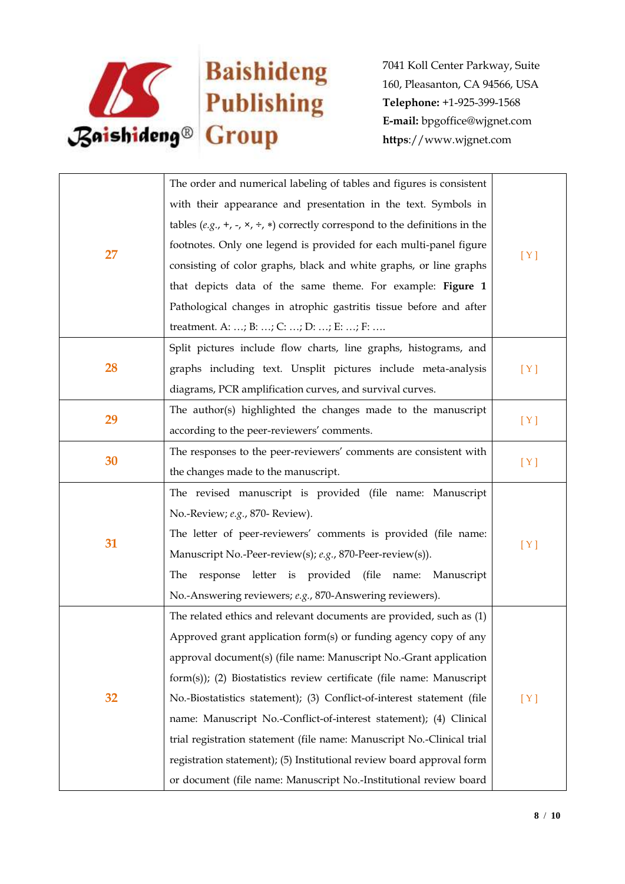

|    | The order and numerical labeling of tables and figures is consistent                            |     |
|----|-------------------------------------------------------------------------------------------------|-----|
|    | with their appearance and presentation in the text. Symbols in                                  |     |
|    | tables (e.g., +, -, $\times$ , $\div$ , $\ast$ ) correctly correspond to the definitions in the |     |
|    | footnotes. Only one legend is provided for each multi-panel figure                              |     |
| 27 | consisting of color graphs, black and white graphs, or line graphs                              | [Y] |
|    | that depicts data of the same theme. For example: Figure 1                                      |     |
|    | Pathological changes in atrophic gastritis tissue before and after                              |     |
|    | treatment. A: ; B: ; C: ; D: ; E: ; F:                                                          |     |
|    | Split pictures include flow charts, line graphs, histograms, and                                |     |
| 28 | graphs including text. Unsplit pictures include meta-analysis                                   | [Y] |
|    | diagrams, PCR amplification curves, and survival curves.                                        |     |
|    | The author(s) highlighted the changes made to the manuscript                                    |     |
| 29 | according to the peer-reviewers' comments.                                                      | [Y] |
|    | The responses to the peer-reviewers' comments are consistent with                               |     |
| 30 | the changes made to the manuscript.                                                             | [Y] |
|    | The revised manuscript is provided (file name: Manuscript                                       |     |
|    | No.-Review; e.g., 870- Review).                                                                 |     |
|    | The letter of peer-reviewers' comments is provided (file name:                                  |     |
| 31 | Manuscript No.-Peer-review(s); e.g., 870-Peer-review(s)).                                       | [Y] |
|    | response letter is provided (file name: Manuscript<br>The                                       |     |
|    | No.-Answering reviewers; e.g., 870-Answering reviewers).                                        |     |
| 32 | The related ethics and relevant documents are provided, such as (1)                             |     |
|    | Approved grant application form(s) or funding agency copy of any                                |     |
|    | approval document(s) (file name: Manuscript No.-Grant application                               |     |
|    | form(s)); (2) Biostatistics review certificate (file name: Manuscript                           |     |
|    | No.-Biostatistics statement); (3) Conflict-of-interest statement (file                          | [Y] |
|    | name: Manuscript No.-Conflict-of-interest statement); (4) Clinical                              |     |
|    | trial registration statement (file name: Manuscript No.-Clinical trial                          |     |
|    | registration statement); (5) Institutional review board approval form                           |     |
|    | or document (file name: Manuscript No.-Institutional review board                               |     |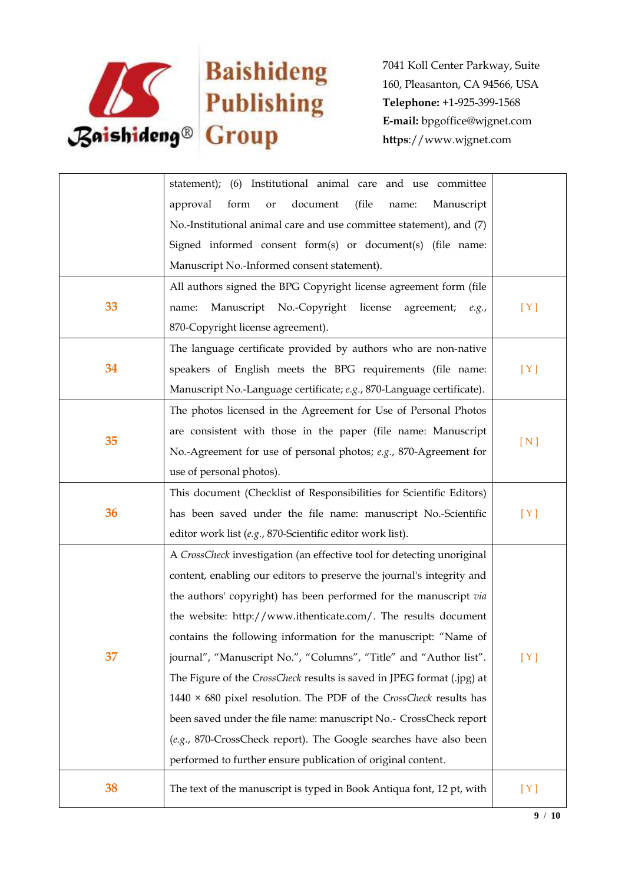

|    | statement); (6) Institutional animal care and use committee               |     |
|----|---------------------------------------------------------------------------|-----|
|    | document<br>(file<br>approval<br>form<br>Manuscript<br>or<br>name:        |     |
|    | No.-Institutional animal care and use committee statement), and (7)       |     |
|    | Signed informed consent form(s) or document(s) (file name:                |     |
|    | Manuscript No.-Informed consent statement).                               |     |
|    | All authors signed the BPG Copyright license agreement form (file         |     |
| 33 | Manuscript No.-Copyright<br>license<br>agreement;<br>name:<br>e.g.,       | [Y] |
|    | 870-Copyright license agreement).                                         |     |
|    | The language certificate provided by authors who are non-native           |     |
| 34 | speakers of English meets the BPG requirements (file name:                | [Y] |
|    | Manuscript No.-Language certificate; e.g., 870-Language certificate).     |     |
|    | The photos licensed in the Agreement for Use of Personal Photos           |     |
|    | are consistent with those in the paper (file name: Manuscript             |     |
| 35 | No.-Agreement for use of personal photos; e.g., 870-Agreement for         | [N] |
|    | use of personal photos).                                                  |     |
|    | This document (Checklist of Responsibilities for Scientific Editors)      |     |
| 36 | has been saved under the file name: manuscript No.-Scientific             | [Y] |
|    | editor work list (e.g., 870-Scientific editor work list).                 |     |
|    | A CrossCheck investigation (an effective tool for detecting unoriginal    |     |
|    | content, enabling our editors to preserve the journal's integrity and     |     |
|    | the authors' copyright) has been performed for the manuscript via         |     |
|    | the website: http://www.ithenticate.com/. The results document            |     |
|    | contains the following information for the manuscript: "Name of           |     |
| 37 | journal", "Manuscript No.", "Columns", "Title" and "Author list".         | [Y] |
|    | The Figure of the CrossCheck results is saved in JPEG format (.jpg) at    |     |
|    | 1440 $\times$ 680 pixel resolution. The PDF of the CrossCheck results has |     |
|    | been saved under the file name: manuscript No.- CrossCheck report         |     |
|    | (e.g., 870-CrossCheck report). The Google searches have also been         |     |
|    | performed to further ensure publication of original content.              |     |
| 38 | The text of the manuscript is typed in Book Antiqua font, 12 pt, with     | [Y] |